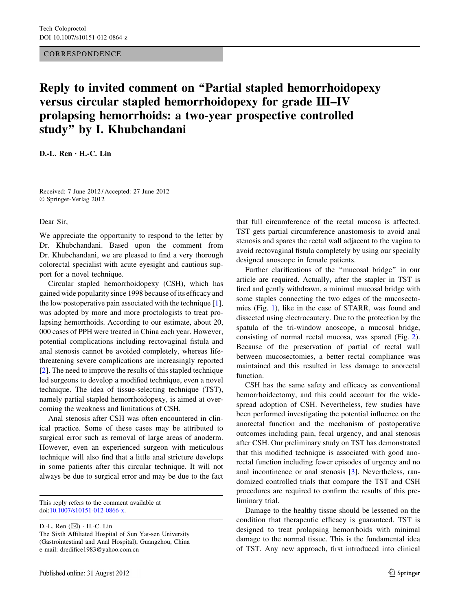## **CORRESPONDENCE**

## Reply to invited comment on ''Partial stapled hemorrhoidopexy versus circular stapled hemorrhoidopexy for grade III–IV prolapsing hemorrhoids: a two-year prospective controlled study'' by I. Khubchandani

D.-L. Ren • H.-C. Lin

Received: 7 June 2012 / Accepted: 27 June 2012 © Springer-Verlag 2012

Dear Sir,

We appreciate the opportunity to respond to the letter by Dr. Khubchandani. Based upon the comment from Dr. Khubchandani, we are pleased to find a very thorough colorectal specialist with acute eyesight and cautious support for a novel technique.

Circular stapled hemorrhoidopexy (CSH), which has gained wide popularity since 1998 because of its efficacy and the low postoperative pain associated with the technique [\[1](#page-1-0)], was adopted by more and more proctologists to treat prolapsing hemorrhoids. According to our estimate, about 20, 000 cases of PPH were treated in China each year. However, potential complications including rectovaginal fistula and anal stenosis cannot be avoided completely, whereas lifethreatening severe complications are increasingly reported [\[2](#page-1-0)]. The need to improve the results of this stapled technique led surgeons to develop a modified technique, even a novel technique. The idea of tissue-selecting technique (TST), namely partial stapled hemorrhoidopexy, is aimed at overcoming the weakness and limitations of CSH.

Anal stenosis after CSH was often encountered in clinical practice. Some of these cases may be attributed to surgical error such as removal of large areas of anoderm. However, even an experienced surgeon with meticulous technique will also find that a little anal stricture develops in some patients after this circular technique. It will not always be due to surgical error and may be due to the fact

This reply refers to the comment available at doi[:10.1007/s10151-012-0866-x.](http://dx.doi.org/10.1007/s10151-012-0866-x)

D.-L. Ren  $(\boxtimes) \cdot$  H.-C. Lin The Sixth Affiliated Hospital of Sun Yat-sen University (Gastrointestinal and Anal Hospital), Guangzhou, China e-mail: dredifice1983@yahoo.com.cn

that full circumference of the rectal mucosa is affected. TST gets partial circumference anastomosis to avoid anal stenosis and spares the rectal wall adjacent to the vagina to avoid rectovaginal fistula completely by using our specially designed anoscope in female patients.

Further clarifications of the ''mucosal bridge'' in our article are required. Actually, after the stapler in TST is fired and gently withdrawn, a minimal mucosal bridge with some staples connecting the two edges of the mucosectomies (Fig. [1](#page-1-0)), like in the case of STARR, was found and dissected using electrocautery. Due to the protection by the spatula of the tri-window anoscope, a mucosal bridge, consisting of normal rectal mucosa, was spared (Fig. [2](#page-1-0)). Because of the preservation of partial of rectal wall between mucosectomies, a better rectal compliance was maintained and this resulted in less damage to anorectal function.

CSH has the same safety and efficacy as conventional hemorrhoidectomy, and this could account for the widespread adoption of CSH. Nevertheless, few studies have been performed investigating the potential influence on the anorectal function and the mechanism of postoperative outcomes including pain, fecal urgency, and anal stenosis after CSH. Our preliminary study on TST has demonstrated that this modified technique is associated with good anorectal function including fewer episodes of urgency and no anal incontinence or anal stenosis [[3\]](#page-1-0). Nevertheless, randomized controlled trials that compare the TST and CSH procedures are required to confirm the results of this preliminary trial.

Damage to the healthy tissue should be lessened on the condition that therapeutic efficacy is guaranteed. TST is designed to treat prolapsing hemorrhoids with minimal damage to the normal tissue. This is the fundamental idea of TST. Any new approach, first introduced into clinical